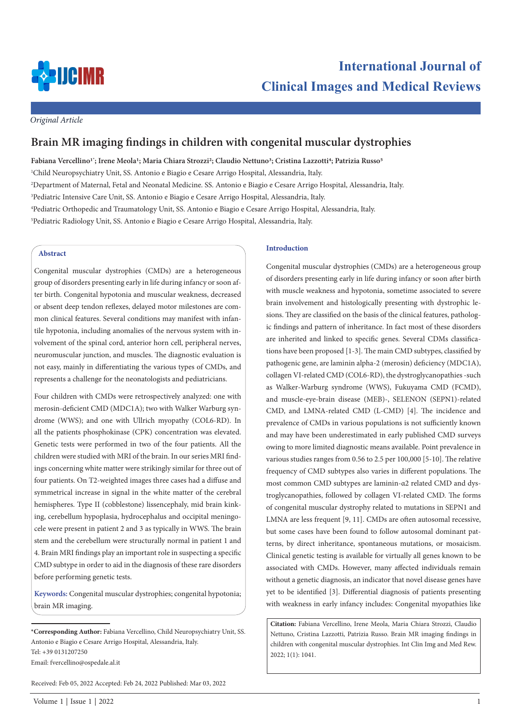

# **International Journal of Clinical Images and Medical Reviews**

*Original Article*

## **Brain MR imaging findings in children with congenital muscular dystrophies**

**Fabiana Vercellino1\* ; Irene Meola1; Maria Chiara Strozzi2; Claudio Nettuno3; Cristina Lazzotti4; Patrizia Russo5**

1 Child Neuropsychiatry Unit, SS. Antonio e Biagio e Cesare Arrigo Hospital, Alessandria, Italy.

2 Department of Maternal, Fetal and Neonatal Medicine. SS. Antonio e Biagio e Cesare Arrigo Hospital, Alessandria, Italy.

3 Pediatric Intensive Care Unit, SS. Antonio e Biagio e Cesare Arrigo Hospital, Alessandria, Italy.

4 Pediatric Orthopedic and Traumatology Unit, SS. Antonio e Biagio e Cesare Arrigo Hospital, Alessandria, Italy.

5 Pediatric Radiology Unit, SS. Antonio e Biagio e Cesare Arrigo Hospital, Alessandria, Italy.

#### **Abstract**

Congenital muscular dystrophies (CMDs) are a heterogeneous group of disorders presenting early in life during infancy or soon after birth. Congenital hypotonia and muscular weakness, decreased or absent deep tendon reflexes, delayed motor milestones are common clinical features. Several conditions may manifest with infantile hypotonia, including anomalies of the nervous system with involvement of the spinal cord, anterior horn cell, peripheral nerves, neuromuscular junction, and muscles. The diagnostic evaluation is not easy, mainly in differentiating the various types of CMDs, and represents a challenge for the neonatologists and pediatricians.

Four children with CMDs were retrospectively analyzed: one with merosin-deficient CMD (MDC1A); two with Walker Warburg syndrome (WWS); and one with Ullrich myopathy (COL6-RD). In all the patients phosphokinase (CPK) concentration was elevated. Genetic tests were performed in two of the four patients. All the children were studied with MRI of the brain. In our series MRI findings concerning white matter were strikingly similar for three out of four patients. On T2-weighted images three cases had a diffuse and symmetrical increase in signal in the white matter of the cerebral hemispheres. Type II (cobblestone) lissencephaly, mid brain kinking, cerebellum hypoplasia, hydrocephalus and occipital meningocele were present in patient 2 and 3 as typically in WWS. The brain stem and the cerebellum were structurally normal in patient 1 and 4. Brain MRI findings play an important role in suspecting a specific CMD subtype in order to aid in the diagnosis of these rare disorders before performing genetic tests.

**Keywords:** Congenital muscular dystrophies; congenital hypotonia; brain MR imaging.

Received: Feb 05, 2022 Accepted: Feb 24, 2022 Published: Mar 03, 2022

#### **Introduction**

Congenital muscular dystrophies (CMDs) are a heterogeneous group of disorders presenting early in life during infancy or soon after birth with muscle weakness and hypotonia, sometime associated to severe brain involvement and histologically presenting with dystrophic lesions. They are classified on the basis of the clinical features, pathologic findings and pattern of inheritance. In fact most of these disorders are inherited and linked to specific genes. Several CDMs classifications have been proposed [1-3]. The main CMD subtypes, classified by pathogenic gene, are laminin alpha‐2 (merosin) deficiency (MDC1A), collagen VI‐related CMD (COL6-RD), the dystroglycanopathies -such as Walker‐Warburg syndrome (WWS), Fukuyama CMD (FCMD), and muscle‐eye‐brain disease (MEB)-, SELENON (SEPN1)‐related CMD, and LMNA‐related CMD (L‐CMD) [4]. The incidence and prevalence of CMDs in various populations is not sufficiently known and may have been underestimated in early published CMD surveys owing to more limited diagnostic means available. Point prevalence in various studies ranges from 0.56 to 2.5 per 100,000 [5-10]. The relative frequency of CMD subtypes also varies in different populations. The most common CMD subtypes are laminin-α2 related CMD and dystroglycanopathies, followed by collagen VI-related CMD. The forms of congenital muscular dystrophy related to mutations in SEPN1 and LMNA are less frequent [9, 11]. CMDs are often autosomal recessive, but some cases have been found to follow autosomal dominant patterns, by direct inheritance, spontaneous mutations, or mosaicism. Clinical genetic testing is available for virtually all genes known to be associated with CMDs. However, many affected individuals remain without a genetic diagnosis, an indicator that novel disease genes have yet to be identified [3]. Differential diagnosis of patients presenting with weakness in early infancy includes: Congenital myopathies like

**Citation:** Fabiana Vercellino, Irene Meola, Maria Chiara Strozzi, Claudio Nettuno, Cristina Lazzotti, Patrizia Russo. Brain MR imaging findings in children with congenital muscular dystrophies. Int Clin Img and Med Rew. 2022; 1(1): 1041.

**<sup>\*</sup>Corresponding Author:** Fabiana Vercellino, Child Neuropsychiatry Unit, SS. Antonio e Biagio e Cesare Arrigo Hospital, Alessandria, Italy. Tel: +39 0131207250 Email: fvercellino@ospedale.al.it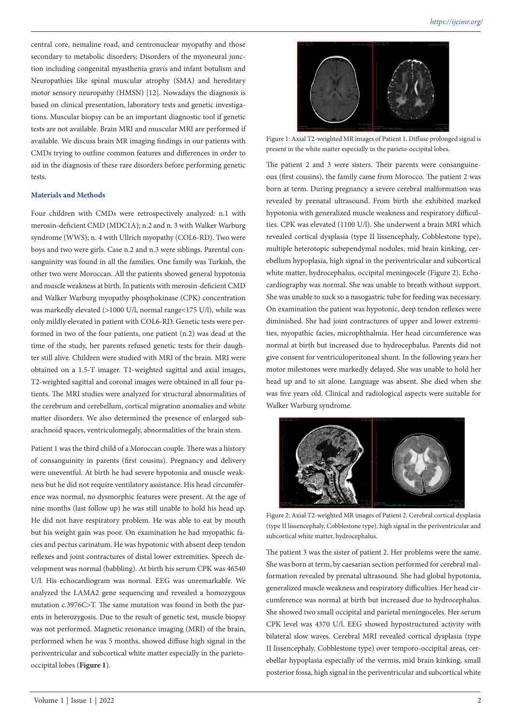central core, nemaline road, and centronuclear myopathy and those secondary to metabolic disorders; Disorders of the myoneural junction including congenital myasthenia gravis and infant botulism and Neuropathies like spinal muscular atrophy (SMA) and hereditary motor sensory neuropathy (HMSN) [12]. Nowadays the diagnosis is based on clinical presentation, laboratory tests and genetic investigations. Muscular biopsy can be an important diagnostic tool if genetic tests are not available. Brain MRI and muscular MRI are performed if available. We discuss brain MR imaging findings in our patients with CMDs trying to outline common features and differences in order to aid in the diagnosis of these rare disorders before performing genetic tests.

#### **Materials and Methods**

Four children with CMDs were retrospectively analyzed: n.1 with merosin-deficient CMD (MDC1A); n.2 and n. 3 with Walker Warburg syndrome (WWS); n. 4 with Ullrich myopathy (COL6-RD). Two were boys and two were girls. Case n.2 and n.3 were siblings. Parental consanguinity was found in all the families. One family was Turkish, the other two were Moroccan. All the patients showed general hypotonia and muscle weakness at birth. In patients with merosin-deficient CMD and Walker Warburg myopathy phosphokinase (CPK) concentration was markedly elevated (>1000 U/l, normal range<175 U/l), while was only mildly elevated in patient with COL6-RD. Genetic tests were performed in two of the four patients, one patient (n.2) was dead at the time of the study, her parents refused genetic tests for their daughter still alive. Children were studied with MRI of the brain. MRI were obtained on a 1.5-T imager. T1-weighted sagittal and axial images, T2-weighted sagittal and coronal images were obtained in all four patients. The MRI studies were analyzed for structural abnormalities of the cerebrum and cerebellum, cortical migration anomalies and white matter disorders. We also determined the presence of enlarged subarachnoid spaces, ventriculomegaly, abnormalities of the brain stem.

Patient 1 was the third child of a Moroccan couple. There was a history of consanguinity in parents (first cousins). Pregnancy and delivery were uneventful. At birth he had severe hypotonia and muscle weakness but he did not require ventilatory assistance. His head circumference was normal, no dysmorphic features were present. At the age of nine months (last follow up) he was still unable to hold his head up. He did not have respiratory problem. He was able to eat by mouth but his weight gain was poor. On examination he had myopathic facies and pectus carinatum. He was hypotonic with absent deep tendon reflexes and joint contractures of distal lower extremities. Speech development was normal (babbling). At birth his serum CPK was 46540 U/l. His echocardiogram was normal. EEG was unremarkable. We analyzed the LAMA2 gene sequencing and revealed a homozygous mutation c.3976C>T. The same mutation was found in both the parents in heterozygosis. Due to the result of genetic test, muscle biopsy was not performed. Magnetic resonance imaging (MRI) of the brain, performed when he was 5 months, showed diffuse high signal in the periventricular and subcortical white matter especially in the parietooccipital lobes (**Figure 1**).



Figure 1: Axial T2-weighted MR images of Patient 1. Diffuse prolonged signal is present in the white matter especially in the parieto-occipital lobes.

The patient 2 and 3 were sisters. Their parents were consanguineous (first cousins), the family came from Morocco. The patient 2 was born at term. During pregnancy a severe cerebral malformation was revealed by prenatal ultrasound. From birth she exhibited marked hypotonia with generalized muscle weakness and respiratory difficulties. CPK was elevated (1100 U/l). She underwent a brain MRI which revealed cortical dysplasia (type II lissencephaly, Cobblestone type), multiple heterotopic subependymal nodules, mid brain kinking, cerebellum hypoplasia, high signal in the periventricular and subcortical white matter, hydrocephalus, occipital meningocele (Figure 2). Echocardiography was normal. She was unable to breath without support. She was unable to suck so a nasogastric tube for feeding was necessary. On examination the patient was hypotonic, deep tendon reflexes were diminished. She had joint contractures of upper and lower extremities, myopathic facies, microphthalmia. Her head circumference was normal at birth but increased due to hydrocephalus. Parents did not give consent for ventriculoperitoneal shunt. In the following years her motor milestones were markedly delayed. She was unable to hold her head up and to sit alone. Language was absent. She died when she was five years old. Clinical and radiological aspects were suitable for Walker Warburg syndrome.



Figure 2: Axial T2-weighted MR images of Patient 2. Cerebral cortical dysplasia (type II lissencephaly, Cobblestone type), high signal in the periventricular and subcortical white matter, hydrocephalus.

The patient 3 was the sister of patient 2. Her problems were the same. She was born at term, by caesarian section performed for cerebral malformation revealed by prenatal ultrasound. She had global hypotonia, generalized muscle weakness and respiratory difficulties. Her head circumference was normal at birth but increased due to hydrocephalus. She showed two small occipital and parietal meningoceles. Her serum CPK level was 4370 U/l. EEG showed hypostructured activity with bilateral slow waves. Cerebral MRI revealed cortical dysplasia (type II lissencephaly, Cobblestone type) over temporo-occipital areas, cerebellar hypoplasia especially of the vermis, mid brain kinking, small posterior fossa, high signal in the periventricular and subcortical white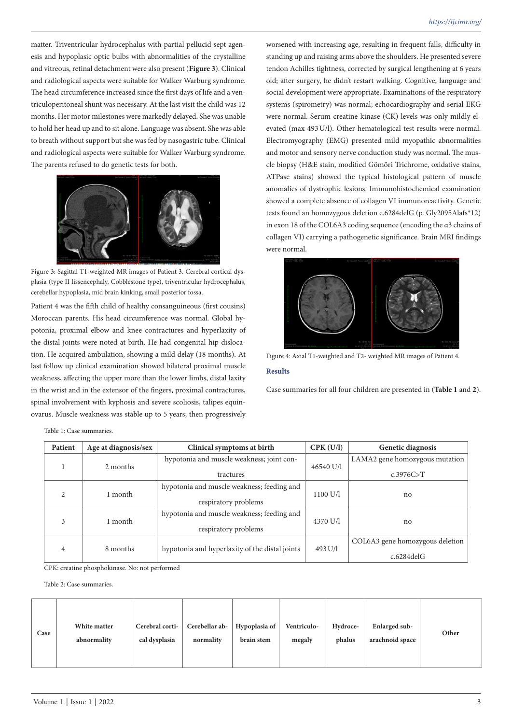matter. Triventricular hydrocephalus with partial pellucid sept agenesis and hypoplasic optic bulbs with abnormalities of the crystalline and vitreous, retinal detachment were also present (**Figure 3**). Clinical and radiological aspects were suitable for Walker Warburg syndrome. The head circumference increased since the first days of life and a ventriculoperitoneal shunt was necessary. At the last visit the child was 12 months. Her motor milestones were markedly delayed. She was unable to hold her head up and to sit alone. Language was absent. She was able to breath without support but she was fed by nasogastric tube. Clinical and radiological aspects were suitable for Walker Warburg syndrome. The parents refused to do genetic tests for both.



Figure 3: Sagittal T1-weighted MR images of Patient 3. Cerebral cortical dysplasia (type II lissencephaly, Cobblestone type), triventricular hydrocephalus, cerebellar hypoplasia, mid brain kinking, small posterior fossa.

Patient 4 was the fifth child of healthy consanguineous (first cousins) Moroccan parents. His head circumference was normal. Global hypotonia, proximal elbow and knee contractures and hyperlaxity of the distal joints were noted at birth. He had congenital hip dislocation. He acquired ambulation, showing a mild delay (18 months). At last follow up clinical examination showed bilateral proximal muscle weakness, affecting the upper more than the lower limbs, distal laxity in the wrist and in the extensor of the fingers, proximal contractures, spinal involvement with kyphosis and severe scoliosis, talipes equinovarus. Muscle weakness was stable up to 5 years; then progressively

worsened with increasing age, resulting in frequent falls, difficulty in standing up and raising arms above the shoulders. He presented severe tendon Achilles tightness, corrected by surgical lengthening at 6 years old; after surgery, he didn't restart walking. Cognitive, language and social development were appropriate. Examinations of the respiratory systems (spirometry) was normal; echocardiography and serial EKG were normal. Serum creatine kinase (CK) levels was only mildly elevated (max 493U/l). Other hematological test results were normal. Electromyography (EMG) presented mild myopathic abnormalities and motor and sensory nerve conduction study was normal. The muscle biopsy (H&E stain, modified Gömöri Trichrome, oxidative stains, ATPase stains) showed the typical histological pattern of muscle anomalies of dystrophic lesions. Immunohistochemical examination showed a complete absence of collagen VI immunoreactivity. Genetic tests found an homozygous deletion c.6284delG (p. Gly2095Alafs\*12) in exon 18 of the COL6A3 coding sequence (encoding the α3 chains of collagen VI) carrying a pathogenetic significance. Brain MRI findings were normal.



Figure 4: Axial T1-weighted and T2- weighted MR images of Patient 4.

### **Results**

Case summaries for all four children are presented in (**Table 1** and **2**).

| Table 1: Case summaries. |  |
|--------------------------|--|
|--------------------------|--|

| Patient        | Age at diagnosis/sex | Clinical symptoms at birth                     | CPK (U/I) | Genetic diagnosis               |
|----------------|----------------------|------------------------------------------------|-----------|---------------------------------|
|                | 2 months             | hypotonia and muscle weakness; joint con-      |           | LAMA2 gene homozygous mutation  |
|                |                      | tractures                                      | 46540 U/l | c.3976C > T                     |
| $\mathfrak{D}$ | 1 month              | hypotonia and muscle weakness; feeding and     | 1100 U/l  |                                 |
|                |                      | respiratory problems                           |           | no                              |
| 3              | 1 month              | hypotonia and muscle weakness; feeding and     | 4370 U/l  |                                 |
|                |                      | respiratory problems                           |           | no                              |
| $\overline{4}$ | 8 months             |                                                |           | COL6A3 gene homozygous deletion |
|                |                      | hypotonia and hyperlaxity of the distal joints | 493 U/l   | $c.6284$ del $G$                |

CPK: creatine phosphokinase. No: not performed

Table 2: Case summaries.

| Case | White matter<br>abnormality | Cerebral corti-<br>cal dysplasia | Cerebellar ab-<br>normality | Hypoplasia of<br>brain stem | Ventriculo-<br>megaly | Hydroce-<br>phalus | Enlarged sub-<br>arachnoid space | Other |
|------|-----------------------------|----------------------------------|-----------------------------|-----------------------------|-----------------------|--------------------|----------------------------------|-------|
|------|-----------------------------|----------------------------------|-----------------------------|-----------------------------|-----------------------|--------------------|----------------------------------|-------|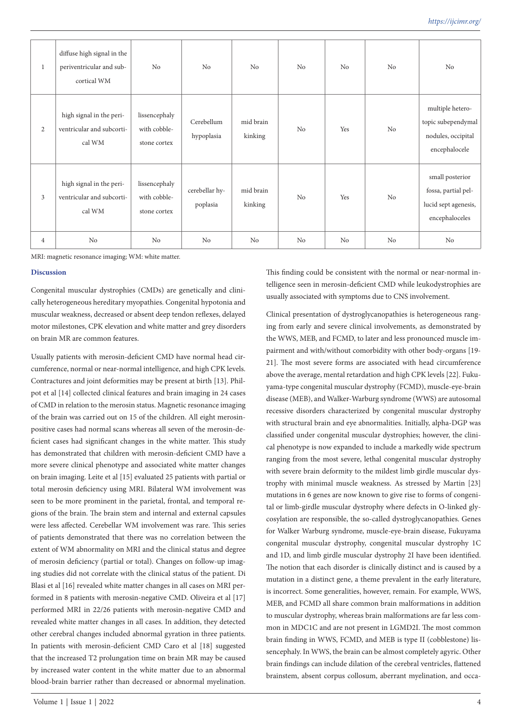| 1              | diffuse high signal in the<br>periventricular and sub-<br>cortical WM | No                                            | No                         | N <sub>o</sub>       | No | N <sub>o</sub> | No | No                                                                               |
|----------------|-----------------------------------------------------------------------|-----------------------------------------------|----------------------------|----------------------|----|----------------|----|----------------------------------------------------------------------------------|
| $\mathbf{2}$   | high signal in the peri-<br>ventricular and subcorti-<br>cal WM       | lissencephaly<br>with cobble-<br>stone cortex | Cerebellum<br>hypoplasia   | mid brain<br>kinking | No | Yes            | No | multiple hetero-<br>topic subependymal<br>nodules, occipital<br>encephalocele    |
| 3              | high signal in the peri-<br>ventricular and subcorti-<br>cal WM       | lissencephaly<br>with cobble-<br>stone cortex | cerebellar hy-<br>poplasia | mid brain<br>kinking | No | Yes            | No | small posterior<br>fossa, partial pel-<br>lucid sept agenesis,<br>encephaloceles |
| $\overline{4}$ | No                                                                    | N <sub>o</sub>                                | No                         | No                   | No | No             | No | No                                                                               |

MRI: magnetic resonance imaging; WM: white matter.

#### **Discussion**

Congenital muscular dystrophies (CMDs) are genetically and clinically heterogeneous hereditary myopathies. Congenital hypotonia and muscular weakness, decreased or absent deep tendon reflexes, delayed motor milestones, CPK elevation and white matter and grey disorders on brain MR are common features.

Usually patients with merosin-deficient CMD have normal head circumference, normal or near-normal intelligence, and high CPK levels. Contractures and joint deformities may be present at birth [13]. Philpot et al [14] collected clinical features and brain imaging in 24 cases of CMD in relation to the merosin status. Magnetic resonance imaging of the brain was carried out on 15 of the children. All eight merosinpositive cases had normal scans whereas all seven of the merosin-deficient cases had significant changes in the white matter. This study has demonstrated that children with merosin-deficient CMD have a more severe clinical phenotype and associated white matter changes on brain imaging. Leite et al [15] evaluated 25 patients with partial or total merosin deficiency using MRI. Bilateral WM involvement was seen to be more prominent in the parietal, frontal, and temporal regions of the brain. The brain stem and internal and external capsules were less affected. Cerebellar WM involvement was rare. This series of patients demonstrated that there was no correlation between the extent of WM abnormality on MRI and the clinical status and degree of merosin deficiency (partial or total). Changes on follow-up imaging studies did not correlate with the clinical status of the patient. Di Blasi et al [16] revealed white matter changes in all cases on MRI performed in 8 patients with merosin-negative CMD. Oliveira et al [17] performed MRI in 22/26 patients with merosin-negative CMD and revealed white matter changes in all cases. In addition, they detected other cerebral changes included abnormal gyration in three patients. In patients with merosin-deficient CMD Caro et al [18] suggested that the increased T2 prolungation time on brain MR may be caused by increased water content in the white matter due to an abnormal blood-brain barrier rather than decreased or abnormal myelination.

This finding could be consistent with the normal or near-normal intelligence seen in merosin-deficient CMD while leukodystrophies are usually associated with symptoms due to CNS involvement.

Clinical presentation of dystroglycanopathies is heterogeneous ranging from early and severe clinical involvements, as demonstrated by the WWS, MEB, and FCMD, to later and less pronounced muscle impairment and with/without comorbidity with other body-organs [19- 21]. The most severe forms are associated with head circumference above the average, mental retardation and high CPK levels [22]. Fukuyama-type congenital muscular dystrophy (FCMD), muscle-eye-brain disease (MEB), and Walker-Warburg syndrome (WWS) are autosomal recessive disorders characterized by congenital muscular dystrophy with structural brain and eye abnormalities. Initially, alpha-DGP was classified under congenital muscular dystrophies; however, the clinical phenotype is now expanded to include a markedly wide spectrum ranging from the most severe, lethal congenital muscular dystrophy with severe brain deformity to the mildest limb girdle muscular dystrophy with minimal muscle weakness. As stressed by Martin [23] mutations in 6 genes are now known to give rise to forms of congenital or limb-girdle muscular dystrophy where defects in O-linked glycosylation are responsible, the so-called dystroglycanopathies. Genes for Walker Warburg syndrome, muscle-eye-brain disease, Fukuyama congenital muscular dystrophy, congenital muscular dystrophy 1C and 1D, and limb girdle muscular dystrophy 2I have been identified. The notion that each disorder is clinically distinct and is caused by a mutation in a distinct gene, a theme prevalent in the early literature, is incorrect. Some generalities, however, remain. For example, WWS, MEB, and FCMD all share common brain malformations in addition to muscular dystrophy, whereas brain malformations are far less common in MDC1C and are not present in LGMD2I. The most common brain finding in WWS, FCMD, and MEB is type II (cobblestone) lissencephaly. In WWS, the brain can be almost completely agyric. Other brain findings can include dilation of the cerebral ventricles, flattened brainstem, absent corpus collosum, aberrant myelination, and occa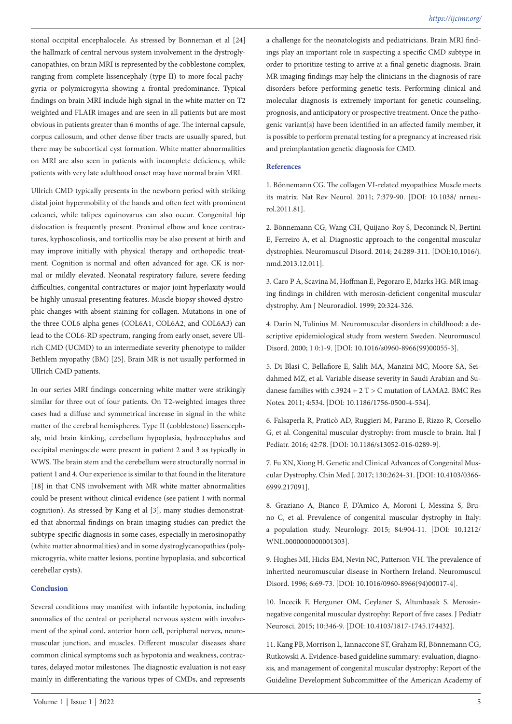sional occipital encephalocele. As stressed by Bonneman et al [24] the hallmark of central nervous system involvement in the dystroglycanopathies, on brain MRI is represented by the cobblestone complex, ranging from complete lissencephaly (type II) to more focal pachygyria or polymicrogyria showing a frontal predominance. Typical findings on brain MRI include high signal in the white matter on T2 weighted and FLAIR images and are seen in all patients but are most obvious in patients greater than 6 months of age. The internal capsule, corpus callosum, and other dense fiber tracts are usually spared, but there may be subcortical cyst formation. White matter abnormalities on MRI are also seen in patients with incomplete deficiency, while patients with very late adulthood onset may have normal brain MRI.

Ullrich CMD typically presents in the newborn period with striking distal joint hypermobility of the hands and often feet with prominent calcanei, while talipes equinovarus can also occur. Congenital hip dislocation is frequently present. Proximal elbow and knee contractures, kyphoscoliosis, and torticollis may be also present at birth and may improve initially with physical therapy and orthopedic treatment. Cognition is normal and often advanced for age. CK is normal or mildly elevated. Neonatal respiratory failure, severe feeding difficulties, congenital contractures or major joint hyperlaxity would be highly unusual presenting features. Muscle biopsy showed dystrophic changes with absent staining for collagen. Mutations in one of the three COL6 alpha genes (COL6A1, COL6A2, and COL6A3) can lead to the COL6‐RD spectrum, ranging from early onset, severe Ullrich CMD (UCMD) to an intermediate severity phenotype to milder Bethlem myopathy (BM) [25]. Brain MR is not usually performed in Ullrich CMD patients.

In our series MRI findings concerning white matter were strikingly similar for three out of four patients. On T2-weighted images three cases had a diffuse and symmetrical increase in signal in the white matter of the cerebral hemispheres. Type II (cobblestone) lissencephaly, mid brain kinking, cerebellum hypoplasia, hydrocephalus and occipital meningocele were present in patient 2 and 3 as typically in WWS. The brain stem and the cerebellum were structurally normal in patient 1 and 4. Our experience is similar to that found in the literature [18] in that CNS involvement with MR white matter abnormalities could be present without clinical evidence (see patient 1 with normal cognition). As stressed by Kang et al [3], many studies demonstrated that abnormal findings on brain imaging studies can predict the subtype-specific diagnosis in some cases, especially in merosinopathy (white matter abnormalities) and in some dystroglycanopathies (polymicrogyria, white matter lesions, pontine hypoplasia, and subcortical cerebellar cysts).

#### **Conclusion**

Several conditions may manifest with infantile hypotonia, including anomalies of the central or peripheral nervous system with involvement of the spinal cord, anterior horn cell, peripheral nerves, neuromuscular junction, and muscles. Different muscular diseases share common clinical symptoms such as hypotonia and weakness, contractures, delayed motor milestones. The diagnostic evaluation is not easy mainly in differentiating the various types of CMDs, and represents

a challenge for the neonatologists and pediatricians. Brain MRI findings play an important role in suspecting a specific CMD subtype in order to prioritize testing to arrive at a final genetic diagnosis. Brain MR imaging findings may help the clinicians in the diagnosis of rare disorders before performing genetic tests. Performing clinical and molecular diagnosis is extremely important for genetic counseling, prognosis, and anticipatory or prospective treatment. Once the pathogenic variant(s) have been identified in an affected family member, it is possible to perform prenatal testing for a pregnancy at increased risk and preimplantation genetic diagnosis for CMD.

#### **References**

1. Bönnemann CG. The collagen VI‐related myopathies: Muscle meets its matrix. Nat Rev Neurol. 2011; 7:379‐90. [DOI: 10.1038/ nrneurol.2011.81].

2. Bönnemann CG, Wang CH, Quijano-Roy S, Deconinck N, Bertini E, Ferreiro A, et al. Diagnostic approach to the congenital muscular dystrophies. Neuromuscul Disord. 2014; 24:289-311. [DOI:10.1016/j. nmd.2013.12.011].

3. Caro P A, Scavina M, Hoffman E, Pegoraro E, Marks HG. MR imaging findings in children with merosin-deficient congenital muscular dystrophy. Am J Neuroradiol. 1999; 20:324-326.

4. Darin N, Tulinius M. Neuromuscular disorders in childhood: a descriptive epidemiological study from western Sweden. Neuromuscul Disord. 2000; 1 0:1-9. [DOI: 10.1016/s0960-8966(99)00055-3].

5. Di Blasi C, Bellafiore E, Salih MA, Manzini MC, Moore SA, Seidahmed MZ, et al. Variable disease severity in Saudi Arabian and Sudanese families with c.3924 + 2 T > C mutation of LAMA2. BMC Res Notes. 2011; 4:534. [DOI: 10.1186/1756-0500-4-534].

6. Falsaperla R, Praticò AD, Ruggieri M, Parano E, Rizzo R, Corsello G, et al. Congenital muscular dystrophy: from muscle to brain. Ital J Pediatr. 2016; 42:78. [DOI: 10.1186/s13052-016-0289-9].

7. Fu XN, Xiong H. Genetic and Clinical Advances of Congenital Muscular Dystrophy. Chin Med J. 2017; 130:2624‐31. [DOI: 10.4103/0366- 6999.217091].

8. Graziano A, Bianco F, D'Amico A, Moroni I, Messina S, Bruno C, et al. Prevalence of congenital muscular dystrophy in Italy: a population study. Neurology. 2015; 84:904-11. [DOI: 10.1212/ WNL.0000000000001303].

9. Hughes MI, Hicks EM, Nevin NC, Patterson VH. The prevalence of inherited neuromuscular disease in Northern Ireland. Neuromuscul Disord. 1996; 6:69-73. [DOI: 10.1016/0960-8966(94)00017-4].

10. Incecik F, Herguner OM, Ceylaner S, Altunbasak S. Merosinnegative congenital muscular dystrophy: Report of five cases. J Pediatr Neurosci. 2015; 10:346-9. [DOI: 10.4103/1817-1745.174432].

11. Kang PB, Morrison L, Iannaccone ST, Graham RJ, Bönnemann CG, Rutkowski A. Evidence-based guideline summary: evaluation, diagnosis, and management of congenital muscular dystrophy: Report of the Guideline Development Subcommittee of the American Academy of